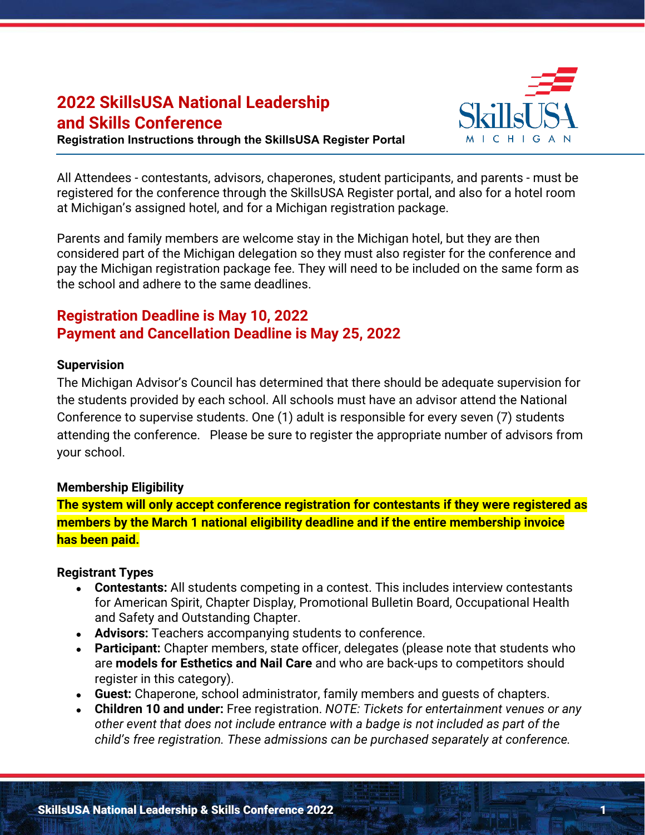# **2022 SkillsUSA National Leadership and Skills Conference**

**Registration Instructions through the SkillsUSA Register Portal**



All Attendees - contestants, advisors, chaperones, student participants, and parents - must be registered for the conference through the SkillsUSA Register portal, and also for a hotel room at Michigan's assigned hotel, and for a Michigan registration package.

Parents and family members are welcome stay in the Michigan hotel, but they are then considered part of the Michigan delegation so they must also register for the conference and pay the Michigan registration package fee. They will need to be included on the same form as the school and adhere to the same deadlines.

## **Registration Deadline is May 10, 2022 Payment and Cancellation Deadline is May 25, 2022**

#### **Supervision**

The Michigan Advisor's Council has determined that there should be adequate supervision for the students provided by each school. All schools must have an advisor attend the National Conference to supervise students. One (1) adult is responsible for every seven (7) students attending the conference. Please be sure to register the appropriate number of advisors from your school.

#### **Membership Eligibility**

**The system will only accept conference registration for contestants if they were registered as members by the March 1 national eligibility deadline and if the entire membership invoice has been paid.**

#### **Registrant Types**

- **Contestants:** All students competing in a contest. This includes interview contestants for American Spirit, Chapter Display, Promotional Bulletin Board, Occupational Health and Safety and Outstanding Chapter.
- **Advisors:** Teachers accompanying students to conference.
- **Participant:** Chapter members, state officer, delegates (please note that students who are **models for Esthetics and Nail Care** and who are back-ups to competitors should register in this category).
- **Guest:** Chaperone, school administrator, family members and guests of chapters.
- **Children 10 and under:** Free registration. *NOTE: Tickets for entertainment venues or any other event that does not include entrance with a badge is not included as part of the child's free registration. These admissions can be purchased separately at conference.*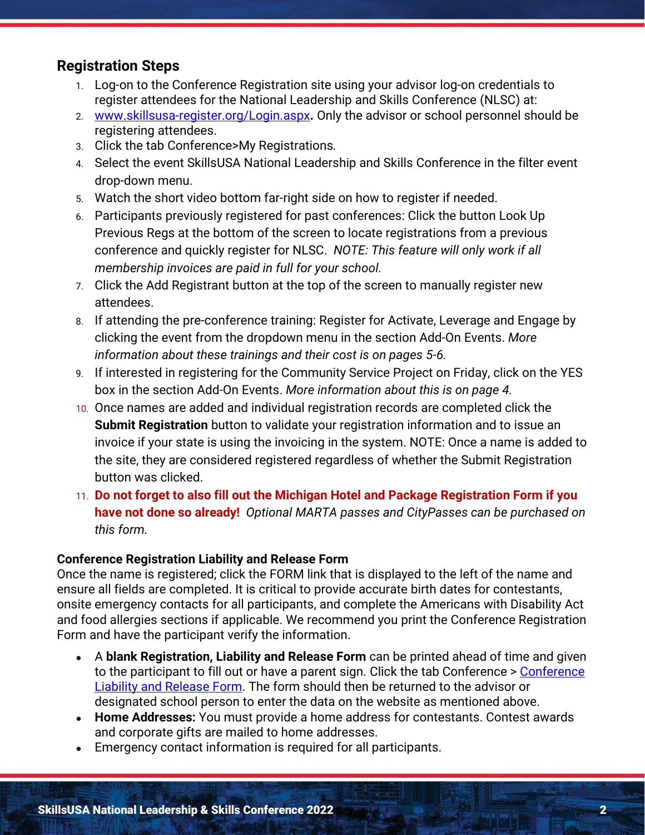## **Registration Steps**

- 1. Log-on to the Conference Registration site using your advisor log-on credentials to register attendees for the National Leadership and Skills Conference (NLSC) at:
- 2. [www.skillsusa-register.org/Login.aspx](http://www.skillsusa-register.org/Login.aspx)**.** Only the advisor or school personnel should be registering attendees.
- 3. Click the tab Conference>My Registrations*.*
- 4. Select the event SkillsUSA National Leadership and Skills Conference in the filter event drop-down menu.
- 5. Watch the short video bottom far-right side on how to register if needed.
- 6. Participants previously registered for past conferences: Click the button Look Up Previous Regs at the bottom of the screen to locate registrations from a previous conference and quickly register for NLSC. *NOTE: This feature will only work if all membership invoices are paid in full for your school.*
- 7. Click the Add Registrant button at the top of the screen to manually register new attendees.
- 8. If attending the pre-conference training: Register for Activate, Leverage and Engage by clicking the event from the dropdown menu in the section Add-On Events. *More information about these trainings and their cost is on pages 5-6.*
- 9. If interested in registering for the Community Service Project on Friday, click on the YES box in the section Add-On Events. *More information about this is on page 4.*
- 10. Once names are added and individual registration records are completed click the **Submit Registration** button to validate your registration information and to issue an invoice if your state is using the invoicing in the system. NOTE: Once a name is added to the site, they are considered registered regardless of whether the Submit Registration button was clicked.
- 11. **Do not forget to also fill out the Michigan Hotel and Package Registration Form if you have not done so already!** *Optional MARTA passes and CityPasses can be purchased on this form.*

## **Conference Registration Liability and Release Form**

Once the name is registered; click the FORM link that is displayed to the left of the name and ensure all fields are completed. It is critical to provide accurate birth dates for contestants, onsite emergency contacts for all participants, and complete the Americans with Disability Act and food allergies sections if applicable. We recommend you print the Conference Registration Form and have the participant verify the information.

- A **blank Registration, Liability and Release Form** can be printed ahead of time and given to the participant to fill out or have a parent sign. Click the tab [Conference](http://skillsusa.org/wp-content/uploads/2015/01/NLSC-Registration-Form-2014-15.pdf) > Conference [Liability and Release Form.](http://skillsusa.org/wp-content/uploads/2015/01/NLSC-Registration-Form-2014-15.pdf) The form should then be returned to the advisor or designated school person to enter the data on the website as mentioned above.
- **Home Addresses:** You must provide a home address for contestants. Contest awards and corporate gifts are mailed to home addresses.
- Emergency contact information is required for all participants.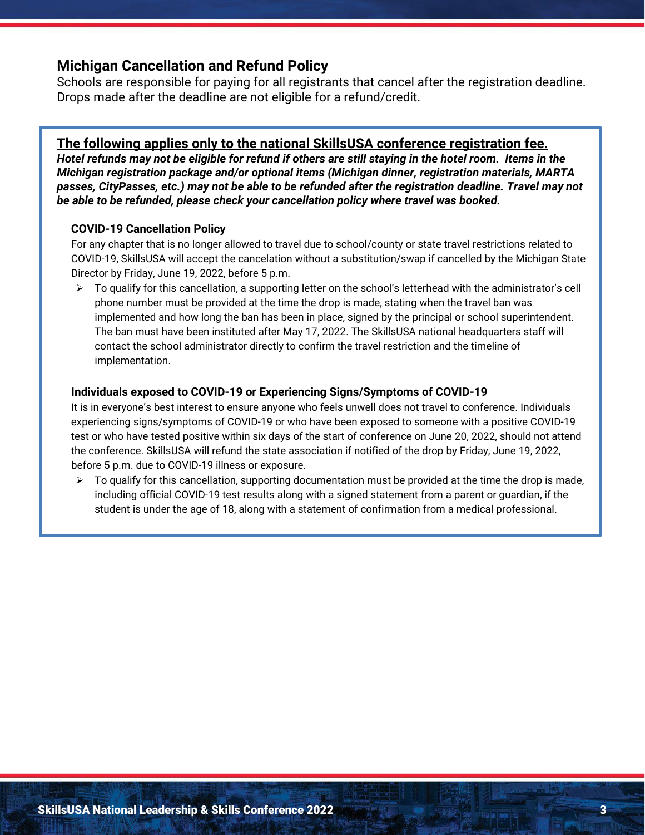## **Michigan Cancellation and Refund Policy**

Schools are responsible for paying for all registrants that cancel after the registration deadline. Drops made after the deadline are not eligible for a refund/credit.

#### **The following applies only to the national SkillsUSA conference registration fee.**

*Hotel refunds may not be eligible for refund if others are still staying in the hotel room. Items in the Michigan registration package and/or optional items (Michigan dinner, registration materials, MARTA passes, CityPasses, etc.) may not be able to be refunded after the registration deadline. Travel may not be able to be refunded, please check your cancellation policy where travel was booked.* 

#### **COVID-19 Cancellation Policy**

For any chapter that is no longer allowed to travel due to school/county or state travel restrictions related to COVID-19, SkillsUSA will accept the cancelation without a substitution/swap if cancelled by the Michigan State Director by Friday, June 19, 2022, before 5 p.m.

 $\triangleright$  To qualify for this cancellation, a supporting letter on the school's letterhead with the administrator's cell phone number must be provided at the time the drop is made, stating when the travel ban was implemented and how long the ban has been in place, signed by the principal or school superintendent. The ban must have been instituted after May 17, 2022. The SkillsUSA national headquarters staff will contact the school administrator directly to confirm the travel restriction and the timeline of implementation.

#### **Individuals exposed to COVID-19 or Experiencing Signs/Symptoms of COVID-19**

It is in everyone's best interest to ensure anyone who feels unwell does not travel to conference. Individuals experiencing signs/symptoms of COVID-19 or who have been exposed to someone with a positive COVID-19 test or who have tested positive within six days of the start of conference on June 20, 2022, should not attend the conference. SkillsUSA will refund the state association if notified of the drop by Friday, June 19, 2022, before 5 p.m. due to COVID-19 illness or exposure.

 $\triangleright$  To qualify for this cancellation, supporting documentation must be provided at the time the drop is made, including official COVID-19 test results along with a signed statement from a parent or guardian, if the student is under the age of 18, along with a statement of confirmation from a medical professional.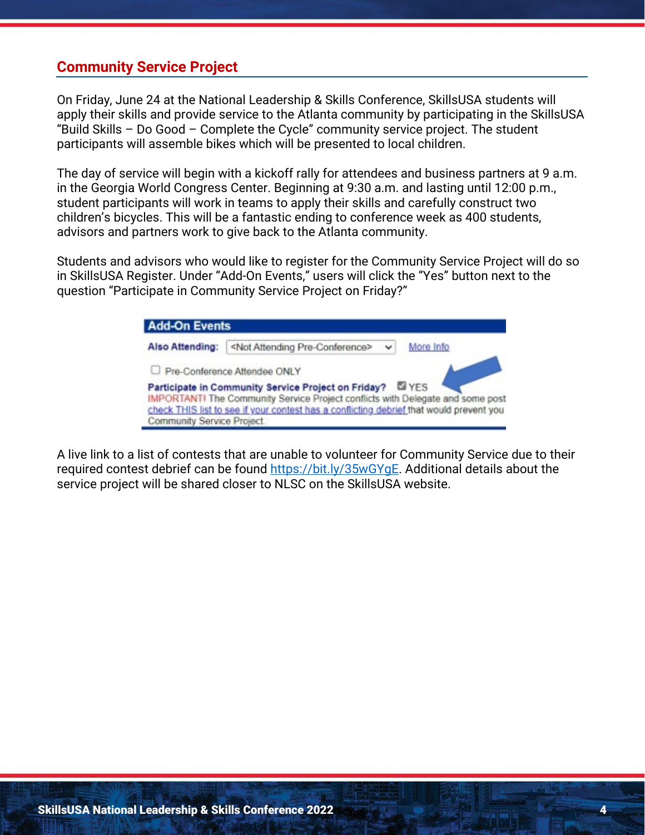## **Community Service Project**

On Friday, June 24 at the National Leadership & Skills Conference, SkillsUSA students will apply their skills and provide service to the Atlanta community by participating in the SkillsUSA "Build Skills – Do Good – Complete the Cycle" community service project. The student participants will assemble bikes which will be presented to local children.

The day of service will begin with a kickoff rally for attendees and business partners at 9 a.m. in the Georgia World Congress Center. Beginning at 9:30 a.m. and lasting until 12:00 p.m., student participants will work in teams to apply their skills and carefully construct two children's bicycles. This will be a fantastic ending to conference week as 400 students, advisors and partners work to give back to the Atlanta community.

Students and advisors who would like to register for the Community Service Project will do so in SkillsUSA Register. Under "Add-On Events," users will click the "Yes" button next to the question "Participate in Community Service Project on Friday?"



A live link to a list of contests that are unable to volunteer for Community Service due to their required contest debrief can be found [https://bit.ly/35wGYgE.](https://bit.ly/35wGYgE) Additional details about the service project will be shared closer to NLSC on the SkillsUSA website.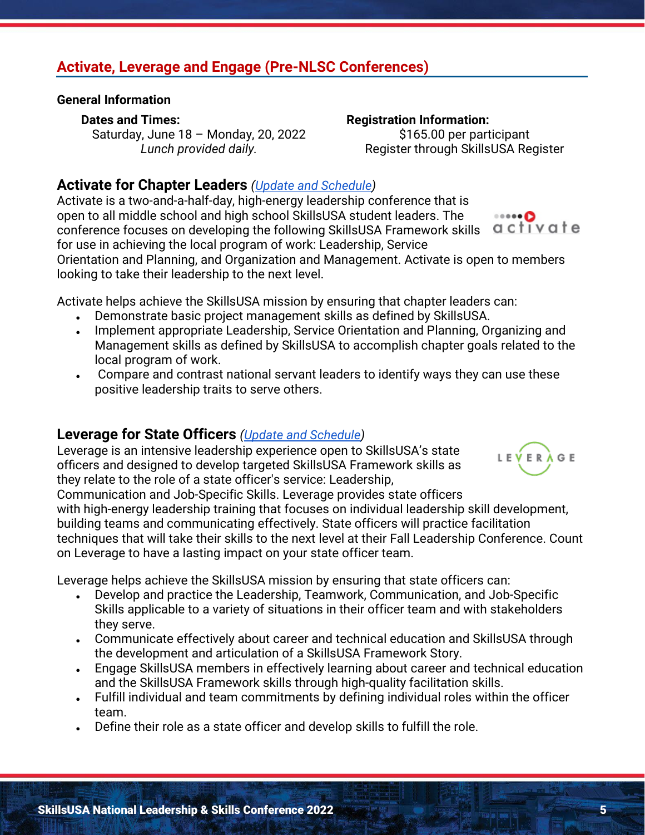# SkillsUSA National Leadership & Skills Conference 2022 5

## **Activate, Leverage and Engage (Pre-NLSC Conferences)**

#### **General Information**

#### **Dates and Times:**

Saturday, June 18 – Monday, 20, 2022 *Lunch provided daily.*

#### **Registration Information:**

\$165.00 per participant Register through SkillsUSA Register

## **Activate for Chapter Leaders** *[\(Update and Schedule\)](https://skillsusa.egnyte.com/dl/JyxEPWdT7A)*

Activate is a two-and-a-half-day, high-energy leadership conference that is open to all middle school and high school SkillsUSA student leaders. The  $\circ \circ \circ \bullet \bullet \bullet$ conference focuses on developing the following SkillsUSA Framework skills for use in achieving the local program of work: Leadership, Service Orientation and Planning, and Organization and Management. Activate is open to members looking to take their leadership to the next level.

Activate helps achieve the SkillsUSA mission by ensuring that chapter leaders can:

- Demonstrate basic project management skills as defined by SkillsUSA.
- Implement appropriate Leadership, Service Orientation and Planning, Organizing and Management skills as defined by SkillsUSA to accomplish chapter goals related to the local program of work.
- Compare and contrast national servant leaders to identify ways they can use these positive leadership traits to serve others.

## **Leverage for State Officers** *[\(Update and Schedule\)](https://skillsusa.egnyte.com/dl/i05rmkJh8O)*

Leverage is an intensive leadership experience open to SkillsUSA's state officers and designed to develop targeted SkillsUSA Framework skills as they relate to the role of a state officer's service: Leadership,

Communication and Job-Specific Skills. Leverage provides state officers with high-energy leadership training that focuses on individual leadership skill development, building teams and communicating effectively. State officers will practice facilitation techniques that will take their skills to the next level at their Fall Leadership Conference. Count on Leverage to have a lasting impact on your state officer team.

Leverage helps achieve the SkillsUSA mission by ensuring that state officers can:

- Develop and practice the Leadership, Teamwork, Communication, and Job-Specific Skills applicable to a variety of situations in their officer team and with stakeholders they serve.
- Communicate effectively about career and technical education and SkillsUSA through the development and articulation of a SkillsUSA Framework Story.
- Engage SkillsUSA members in effectively learning about career and technical education and the SkillsUSA Framework skills through high-quality facilitation skills.
- Fulfill individual and team commitments by defining individual roles within the officer team.
- Define their role as a state officer and develop skills to fulfill the role.